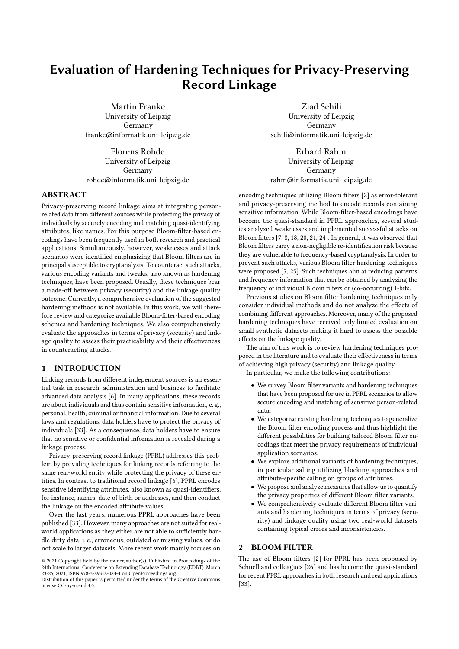# Evaluation of Hardening Techniques for Privacy-Preserving Record Linkage

Martin Franke University of Leipzig Germany franke@informatik.uni-leipzig.de

Florens Rohde University of Leipzig Germany rohde@informatik.uni-leipzig.de

## ABSTRACT

Privacy-preserving record linkage aims at integrating personrelated data from different sources while protecting the privacy of individuals by securely encoding and matching quasi-identifying attributes, like names. For this purpose Bloom-filter-based encodings have been frequently used in both research and practical applications. Simultaneously, however, weaknesses and attack scenarios were identified emphasizing that Bloom filters are in principal susceptible to cryptanalysis. To counteract such attacks, various encoding variants and tweaks, also known as hardening techniques, have been proposed. Usually, these techniques bear a trade-off between privacy (security) and the linkage quality outcome. Currently, a comprehensive evaluation of the suggested hardening methods is not available. In this work, we will therefore review and categorize available Bloom-filter-based encoding schemes and hardening techniques. We also comprehensively evaluate the approaches in terms of privacy (security) and linkage quality to assess their practicability and their effectiveness in counteracting attacks.

## 1 INTRODUCTION

Linking records from different independent sources is an essential task in research, administration and business to facilitate advanced data analysis [\[6\]](#page-11-0). In many applications, these records are about individuals and thus contain sensitive information, e. g., personal, health, criminal or financial information. Due to several laws and regulations, data holders have to protect the privacy of individuals [\[33\]](#page-11-1). As a consequence, data holders have to ensure that no sensitive or confidential information is revealed during a linkage process.

Privacy-preserving record linkage (PPRL) addresses this problem by providing techniques for linking records referring to the same real-world entity while protecting the privacy of these entities. In contrast to traditional record linkage [\[6\]](#page-11-0), PPRL encodes sensitive identifying attributes, also known as quasi-identifiers, for instance, names, date of birth or addresses, and then conduct the linkage on the encoded attribute values.

Over the last years, numerous PPRL approaches have been published [\[33\]](#page-11-1). However, many approaches are not suited for realworld applications as they either are not able to sufficiently handle dirty data, i. e., erroneous, outdated or missing values, or do not scale to larger datasets. More recent work mainly focuses on

Ziad Sehili University of Leipzig Germany sehili@informatik.uni-leipzig.de

Erhard Rahm University of Leipzig Germany rahm@informatik.uni-leipzig.de

encoding techniques utilizing Bloom filters [\[2\]](#page-11-2) as error-tolerant and privacy-preserving method to encode records containing sensitive information. While Bloom-filter-based encodings have become the quasi-standard in PPRL approaches, several studies analyzed weaknesses and implemented successful attacks on Bloom filters [\[7,](#page-11-3) [8,](#page-11-4) [18,](#page-11-5) [20,](#page-11-6) [21,](#page-11-7) [24\]](#page-11-8). In general, it was observed that Bloom filters carry a non-negligible re-identification risk because they are vulnerable to frequency-based cryptanalysis. In order to prevent such attacks, various Bloom filter hardening techniques were proposed [\[7,](#page-11-3) [25\]](#page-11-9). Such techniques aim at reducing patterns and frequency information that can be obtained by analyzing the frequency of individual Bloom filters or (co-occurring) 1-bits.

Previous studies on Bloom filter hardening techniques only consider individual methods and do not analyze the effects of combining different approaches. Moreover, many of the proposed hardening techniques have received only limited evaluation on small synthetic datasets making it hard to assess the possible effects on the linkage quality.

The aim of this work is to review hardening techniques proposed in the literature and to evaluate their effectiveness in terms of achieving high privacy (security) and linkage quality. In particular, we make the following contributions:

- We survey Bloom filter variants and hardening techniques that have been proposed for use in PPRL scenarios to allow secure encoding and matching of sensitive person-related data.
- We categorize existing hardening techniques to generalize the Bloom filter encoding process and thus highlight the different possibilities for building tailored Bloom filter encodings that meet the privacy requirements of individual application scenarios.
- We explore additional variants of hardening techniques, in particular salting utilizing blocking approaches and attribute-specific salting on groups of attributes.
- We propose and analyze measures that allow us to quantify the privacy properties of different Bloom filter variants.
- We comprehensively evaluate different Bloom filter variants and hardening techniques in terms of privacy (security) and linkage quality using two real-world datasets containing typical errors and inconsistencies.

# 2 BLOOM FILTER

The use of Bloom filters [\[2\]](#page-11-2) for PPRL has been proposed by Schnell and colleagues [\[26\]](#page-11-10) and has become the quasi-standard for recent PPRL approaches in both research and real applications [\[33\]](#page-11-1).

<sup>©</sup> 2021 Copyright held by the owner/author(s). Published in Proceedings of the 24th International Conference on Extending Database Technology (EDBT), March 23-26, 2021, ISBN 978-3-89318-084-4 on OpenProceedings.org.

Distribution of this paper is permitted under the terms of the Creative Commons license CC-by-nc-nd 4.0.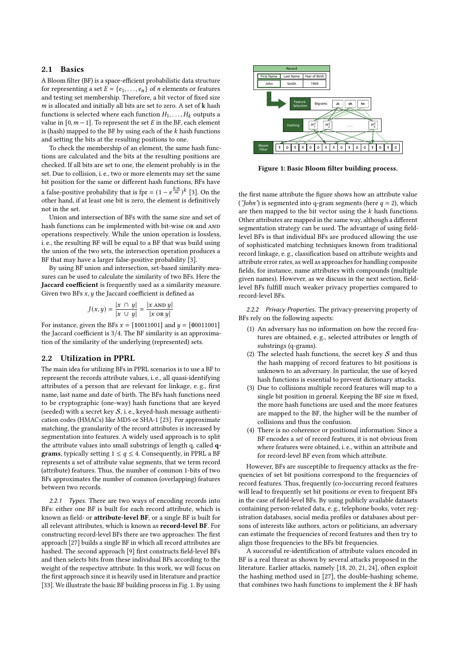#### 2.1 Basics

A Bloom filter (BF) is a space-efficient probabilistic data structure for representing a set  $E = \{e_1, \ldots, e_n\}$  of *n* elements or features and testing set membership. Therefore, a bit vector of fixed size  $m$  is allocated and initially all bits are set to zero. A set of  $k$  hash functions is selected where each function  $H_1, \ldots, H_k$  outputs a value in  $[0, m-1]$ . To represent the set E in the BF, each element is (hash) mapped to the BF by using each of the  $k$  hash functions and setting the bits at the resulting positions to one.

To check the membership of an element, the same hash functions are calculated and the bits at the resulting positions are checked. If all bits are set to one, the element probably is in the set. Due to collision, i. e., two or more elements may set the same bit position for the same or different hash functions, BFs have a false-positive probability that is fpr =  $(1 - e^{\frac{k \cdot n}{m}})^k$  [\[3\]](#page-11-11). On the other hand, if at least one bit is zero, the element is definitively not in the set.

Union and intersection of BFs with the same size and set of hash functions can be implemented with bit-wise or and AND operations respectively. While the union operation is lossless, i. e., the resulting BF will be equal to a BF that was build using the union of the two sets, the intersection operation produces a BF that may have a larger false-positive probability [\[3\]](#page-11-11).

By using BF union and intersection, set-based similarity measures can be used to calculate the similarity of two BFs. Here the Jaccard coefficient is frequently used as a similarity measure. Given two BFs  $x$ ,  $y$  the Jaccard coefficient is defined as

$$
J(x, y) = \frac{|x \cap y|}{|x \cup y|} = \frac{|x \text{ AND } y|}{|x \text{ OR } y|}
$$

For instance, given the BFs  $x = [10011001]$  and  $y = [00011001]$ the Jaccard coefficient is 3/4. The BF similarity is an approximation of the similarity of the underlying (represented) sets.

#### <span id="page-1-2"></span>2.2 Utilization in PPRL

The main idea for utilizing BFs in PPRL scenarios is to use a BF to represent the records attribute values, i. e., all quasi-identifying attributes of a person that are relevant for linkage, e. g., first name, last name and date of birth. The BFs hash functions need to be cryptographic (one-way) hash functions that are keyed (seeded) with a secret key  $S$ , i. e., keyed-hash message authentication codes (HMACs) like MD5 or SHA-1 [\[23\]](#page-11-12). For approximate matching, the granularity of the record attributes is increased by segmentation into features. A widely used approach is to split the attribute values into small substrings of length q, called q**grams**, typically setting  $1 \leq q \leq 4$ . Consequently, in PPRL a BF represents a set of attribute value segments, that we term record (attribute) features. Thus, the number of common 1-bits of two BFs approximates the number of common (overlapping) features between two records.

<span id="page-1-3"></span>2.2.1 Types. There are two ways of encoding records into BFs: either one BF is built for each record attribute, which is known as field- or attribute-level BF, or a single BF is built for all relevant attributes, which is known as record-level BF. For constructing record-level BFs there are two approaches: The first approach [\[27\]](#page-11-13) builds a single BF in which all record attributes are hashed. The second approach [\[9\]](#page-11-14) first constructs field-level BFs and then selects bits from these individual BFs according to the weight of the respective attribute. In this work, we will focus on the first approach since it is heavily used in literature and practice [\[33\]](#page-11-1). We illustrate the basic BF building process in Fig. [1.](#page-1-0) By using

<span id="page-1-0"></span>

Figure 1: Basic Bloom filter building process.

the first name attribute the figure shows how an attribute value ('John') is segmented into q-gram segments (here  $q = 2$ ), which are then mapped to the bit vector using the  $k$  hash functions. Other attributes are mapped in the same way, although a different segmentation strategy can be used. The advantage of using fieldlevel BFs is that individual BFs are produced allowing the use of sophisticated matching techniques known from traditional record linkage, e. g., classification based on attribute weights and attribute error rates, as well as approaches for handling composite fields, for instance, name attributes with compounds (multiple given names). However, as we discuss in the next section, fieldlevel BFs fulfill much weaker privacy properties compared to record-level BFs.

<span id="page-1-1"></span>2.2.2 Privacy Properties. The privacy-preserving property of BFs rely on the following aspects:

- (1) An adversary has no information on how the record features are obtained, e. g., selected attributes or length of substrings (q-grams).
- (2) The selected hash functions, the secret key  $S$  and thus the hash mapping of record features to bit positions is unknown to an adversary. In particular, the use of keyed hash functions is essential to prevent dictionary attacks.
- (3) Due to collisions multiple record features will map to a single bit position in general. Keeping the BF size  $m$  fixed, the more hash functions are used and the more features are mapped to the BF, the higher will be the number of collisions and thus the confusion.
- (4) There is no coherence or positional information: Since a BF encodes a set of record features, it is not obvious from where features were obtained, i. e., within an attribute and for record-level BF even from which attribute.

However, BFs are susceptible to frequency attacks as the frequencies of set bit positions correspond to the frequencies of record features. Thus, frequently (co-)occurring record features will lead to frequently set bit positions or even to frequent BFs in the case of field-level BFs. By using publicly available datasets containing person-related data, e. g., telephone books, voter registration databases, social media profiles or databases about persons of interests like authors, actors or politicians, an adversary can estimate the frequencies of record features and then try to align those frequencies to the BFs bit frequencies.

A successful re-identification of attribute values encoded in BF is a real threat as shown by several attacks proposed in the literature. Earlier attacks, namely [\[18,](#page-11-5) [20,](#page-11-6) [21,](#page-11-7) [24\]](#page-11-8), often exploit the hashing method used in [\[27\]](#page-11-13), the double-hashing scheme, that combines two hash functions to implement the  $k$  BF hash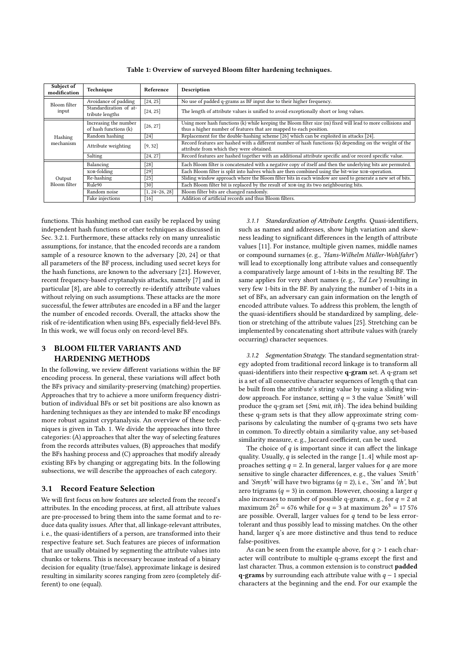<span id="page-2-0"></span>

| Subject of<br>modification | Technique                                      | Reference | Description                                                                                                                                                                        |  |  |  |
|----------------------------|------------------------------------------------|-----------|------------------------------------------------------------------------------------------------------------------------------------------------------------------------------------|--|--|--|
| Bloom filter               | Avoidance of padding                           | [24, 25]  | No use of padded q-grams as BF input due to their higher frequency.                                                                                                                |  |  |  |
| input                      | Standardization of at-<br>tribute lengths      | [24, 25]  | The length of attribute values is unified to avoid exceptionally short or long values.                                                                                             |  |  |  |
|                            | Increasing the number<br>of hash functions (k) | [26, 27]  | Using more hash functions (k) while keeping the Bloom filter size (m) fixed will lead to more collisions and<br>thus a higher number of features that are mapped to each position. |  |  |  |
| Hashing                    | Random hashing                                 | $[24]$    | Replacement for the double-hashing scheme [26] which can be exploited in attacks [24].                                                                                             |  |  |  |
| mechanism                  | Attribute weighting<br>[9, 32]                 |           | Record features are hashed with a different number of hash functions (k) depending on the weight of the<br>attribute from which they were obtained.                                |  |  |  |
|                            | Salting                                        | [24, 27]  | Record features are hashed together with an additional attribute specific and/or record specific value.                                                                            |  |  |  |
|                            | Balancing                                      | $[28]$    | Each Bloom filter is concatenated with a negative copy of itself and then the underlying bits are permuted.                                                                        |  |  |  |
|                            | XOR-folding                                    | $[29]$    | Each Bloom filter is split into halves which are then combined using the bit-wise xor-operation.                                                                                   |  |  |  |
| Output                     | Re-hashing                                     | $[25]$    | Sliding window approach where the Bloom filter bits in each window are used to generate a new set of bits.                                                                         |  |  |  |
| Bloom filter               | Rule90<br>[30]                                 |           | Each Bloom filter bit is replaced by the result of xon-ing its two neighbouring bits.                                                                                              |  |  |  |
|                            | Random noise<br>$\lceil 1, 24 - 26, 28 \rceil$ |           | Bloom filter bits are changed randomly.                                                                                                                                            |  |  |  |
|                            | Fake injections                                | [16]      | Addition of artificial records and thus Bloom filters.                                                                                                                             |  |  |  |

Table 1: Overview of surveyed Bloom filter hardening techniques.

functions. This hashing method can easily be replaced by using independent hash functions or other techniques as discussed in Sec. [3.2.1.](#page-3-0) Furthermore, these attacks rely on many unrealistic assumptions, for instance, that the encoded records are a random sample of a resource known to the adversary [\[20,](#page-11-6) [24\]](#page-11-8) or that all parameters of the BF process, including used secret keys for the hash functions, are known to the adversary [\[21\]](#page-11-7). However, recent frequency-based cryptanalysis attacks, namely [\[7\]](#page-11-3) and in particular [\[8\]](#page-11-4), are able to correctly re-identify attribute values without relying on such assumptions. These attacks are the more successful, the fewer attributes are encoded in a BF and the larger the number of encoded records. Overall, the attacks show the risk of re-identification when using BFs, especially field-level BFs. In this work, we will focus only on record-level BFs.

# 3 BLOOM FILTER VARIANTS AND HARDENING METHODS

In the following, we review different variations within the BF encoding process. In general, these variations will affect both the BFs privacy and similarity-preserving (matching) properties. Approaches that try to achieve a more uniform frequency distribution of individual BFs or set bit positions are also known as hardening techniques as they are intended to make BF encodings more robust against cryptanalysis. An overview of these techniques is given in Tab. [1.](#page-2-0) We divide the approaches into three categories: (A) approaches that alter the way of selecting features from the records attributes values, (B) approaches that modify the BFs hashing process and (C) approaches that modify already existing BFs by changing or aggregating bits. In the following subsections, we will describe the approaches of each category.

#### 3.1 Record Feature Selection

We will first focus on how features are selected from the record's attributes. In the encoding process, at first, all attribute values are pre-processed to bring them into the same format and to reduce data quality issues. After that, all linkage-relevant attributes, i. e., the quasi-identifiers of a person, are transformed into their respective feature set. Such features are pieces of information that are usually obtained by segmenting the attribute values into chunks or tokens. This is necessary because instead of a binary decision for equality (true/false), approximate linkage is desired resulting in similarity scores ranging from zero (completely different) to one (equal).

3.1.1 Standardization of Attribute Lengths. Quasi-identifiers, such as names and addresses, show high variation and skewness leading to significant differences in the length of attribute values [\[11\]](#page-11-21). For instance, multiple given names, middle names or compound surnames (e. g., 'Hans-Wilhelm Müller-Wohlfahrt') will lead to exceptionally long attribute values and consequently a comparatively large amount of 1-bits in the resulting BF. The same applies for very short names (e.g., 'Ed Lee') resulting in very few 1-bits in the BF. By analyzing the number of 1-bits in a set of BFs, an adversary can gain information on the length of encoded attribute values. To address this problem, the length of the quasi-identifiers should be standardized by sampling, deletion or stretching of the attribute values [\[25\]](#page-11-9). Stretching can be implemented by concatenating short attribute values with (rarely occurring) character sequences.

3.1.2 Segmentation Strategy. The standard segmentation strategy adopted from traditional record linkage is to transform all quasi-identifiers into their respective q-gram set. A q-gram set is a set of all consecutive character sequences of length q that can be built from the attribute's string value by using a sliding window approach. For instance, setting  $q = 3$  the value 'Smith' will produce the q-gram set {Smi, mit, ith}. The idea behind building these q-gram sets is that they allow approximate string comparisons by calculating the number of q-grams two sets have in common. To directly obtain a similarity value, any set-based similarity measure, e. g., Jaccard coefficient, can be used.

The choice of  $q$  is important since it can affect the linkage quality. Usually,  $q$  is selected in the range [1..4] while most approaches setting  $q = 2$ . In general, larger values for q are more sensitive to single character differences, e. g., the values 'Smith' and 'Smyth' will have two bigrams ( $q = 2$ ), i.e., 'Sm' and 'th', but zero trigrams ( $q = 3$ ) in common. However, choosing a larger  $q$ also increases to number of possible q-grams, e.g., for  $q = 2$  at maximum 26<sup>2</sup> = 676 while for  $q = 3$  at maximum 26<sup>3</sup> = 17 576 are possible. Overall, larger values for  $q$  tend to be less errortolerant and thus possibly lead to missing matches. On the other hand, larger q's are more distinctive and thus tend to reduce false-positives.

As can be seen from the example above, for  $q > 1$  each character will contribute to multiple q-grams except the first and last character. Thus, a common extension is to construct padded **q-grams** by surrounding each attribute value with  $q - 1$  special characters at the beginning and the end. For our example the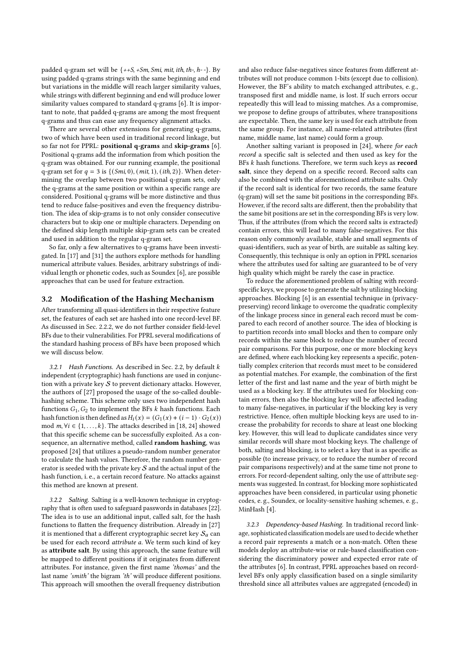padded q-gram set will be {++S, +Sm, Smi, mit, ith, th-, h- -}. By using padded q-grams strings with the same beginning and end but variations in the middle will reach larger similarity values, while strings with different beginning and end will produce lower similarity values compared to standard q-grams [\[6\]](#page-11-0). It is important to note, that padded q-grams are among the most frequent q-grams and thus can ease any frequency alignment attacks.

There are several other extensions for generating q-grams, two of which have been used in traditional record linkage, but so far not for PPRL: positional q-grams and skip-grams [\[6\]](#page-11-0). Positional q-grams add the information from which position the q-gram was obtained. For our running example, the positional q-gram set for  $q = 3$  is  $\{(Smi, 0), (mit, 1), (ith, 2)\}$ . When determining the overlap between two positional q-gram sets, only the q-grams at the same position or within a specific range are considered. Positional q-grams will be more distinctive and thus tend to reduce false-positives and even the frequency distribution. The idea of skip-grams is to not only consider consecutive characters but to skip one or multiple characters. Depending on the defined skip length multiple skip-gram sets can be created and used in addition to the regular q-gram set.

So far, only a few alternatives to q-grams have been investigated. In [\[17\]](#page-11-22) and [\[31\]](#page-11-23) the authors explore methods for handling numerical attribute values. Besides, arbitrary substrings of individual length or phonetic codes, such as Soundex [\[6\]](#page-11-0), are possible approaches that can be used for feature extraction.

#### 3.2 Modification of the Hashing Mechanism

After transforming all quasi-identifiers in their respective feature set, the features of each set are hashed into one record-level BF. As discussed in Sec. [2.2.2,](#page-1-1) we do not further consider field-level BFs due to their vulnerabilities. For PPRL several modifications of the standard hashing process of BFs have been proposed which we will discuss below.

<span id="page-3-0"></span>3.2.1 Hash Functions. As described in Sec. [2.2,](#page-1-2) by default  $k$ independent (cryptographic) hash functions are used in conjunction with a private key  $S$  to prevent dictionary attacks. However, the authors of [\[27\]](#page-11-13) proposed the usage of the so-called doublehashing scheme. This scheme only uses two independent hash functions  $G_1, G_2$  to implement the BFs  $k$  hash functions. Each hash function is then defined as  $H_i(x) = (G_1(x) + (i - 1) \cdot G_2(x))$ mod  $m, \forall i \in \{1, ..., k\}$ . The attacks described in [\[18,](#page-11-5) [24\]](#page-11-8) showed that this specific scheme can be successfully exploited. As a consequence, an alternative method, called random hashing, was proposed [\[24\]](#page-11-8) that utilizes a pseudo-random number generator to calculate the hash values. Therefore, the random number generator is seeded with the private key  $S$  and the actual input of the hash function, i. e., a certain record feature. No attacks against this method are known at present.

3.2.2 Salting. Salting is a well-known technique in cryptography that is often used to safeguard passwords in databases [\[22\]](#page-11-24). The idea is to use an additional input, called salt, for the hash functions to flatten the frequency distribution. Already in [\[27\]](#page-11-13) it is mentioned that a different cryptographic secret key  $S_a$  can be used for each record attribute a. We term such kind of key as attribute salt. By using this approach, the same feature will be mapped to different positions if it originates from different attributes. For instance, given the first name 'thomas' and the last name 'smith' the bigram 'th' will produce different positions. This approach will smoothen the overall frequency distribution

and also reduce false-negatives since features from different attributes will not produce common 1-bits (except due to collision). However, the BF's ability to match exchanged attributes, e. g., transposed first and middle name, is lost. If such errors occur repeatedly this will lead to missing matches. As a compromise, we propose to define groups of attributes, where transpositions are expectable. Then, the same key is used for each attribute from the same group. For instance, all name-related attributes (first name, middle name, last name) could form a group.

Another salting variant is proposed in [\[24\]](#page-11-8), where for each record a specific salt is selected and then used as key for the BFs  $k$  hash functions. Therefore, we term such keys as  $record$ salt, since they depend on a specific record. Record salts can also be combined with the aforementioned attribute salts. Only if the record salt is identical for two records, the same feature (q-gram) will set the same bit positions in the corresponding BFs. However, if the record salts are different, then the probability that the same bit positions are set in the corresponding BFs is very low. Thus, if the attributes (from which the record salts is extracted) contain errors, this will lead to many false-negatives. For this reason only commonly available, stable and small segments of quasi-identifiers, such as year of birth, are suitable as salting key. Consequently, this technique is only an option in PPRL scenarios where the attributes used for salting are guaranteed to be of very high quality which might be rarely the case in practice.

To reduce the aforementioned problem of salting with recordspecific keys, we propose to generate the salt by utilizing blocking approaches. Blocking [\[6\]](#page-11-0) is an essential technique in (privacypreserving) record linkage to overcome the quadratic complexity of the linkage process since in general each record must be compared to each record of another source. The idea of blocking is to partition records into small blocks and then to compare only records within the same block to reduce the number of record pair comparisons. For this purpose, one or more blocking keys are defined, where each blocking key represents a specific, potentially complex criterion that records must meet to be considered as potential matches. For example, the combination of the first letter of the first and last name and the year of birth might be used as a blocking key. If the attributes used for blocking contain errors, then also the blocking key will be affected leading to many false-negatives, in particular if the blocking key is very restrictive. Hence, often multiple blocking keys are used to increase the probability for records to share at least one blocking key. However, this will lead to duplicate candidates since very similar records will share most blocking keys. The challenge of both, salting and blocking, is to select a key that is as specific as possible (to increase privacy, or to reduce the number of record pair comparisons respectively) and at the same time not prone to errors. For record-dependent salting, only the use of attribute segments was suggested. In contrast, for blocking more sophisticated approaches have been considered, in particular using phonetic codes, e. g., Soundex, or locality-sensitive hashing schemes, e. g., MinHash [\[4\]](#page-11-25).

3.2.3 Dependency-based Hashing. In traditional record linkage, sophisticated classification models are used to decide whether a record pair represents a match or a non-match. Often these models deploy an attribute-wise or rule-based classification considering the discriminatory power and expected error rate of the attributes [\[6\]](#page-11-0). In contrast, PPRL approaches based on recordlevel BFs only apply classification based on a single similarity threshold since all attributes values are aggregated (encoded) in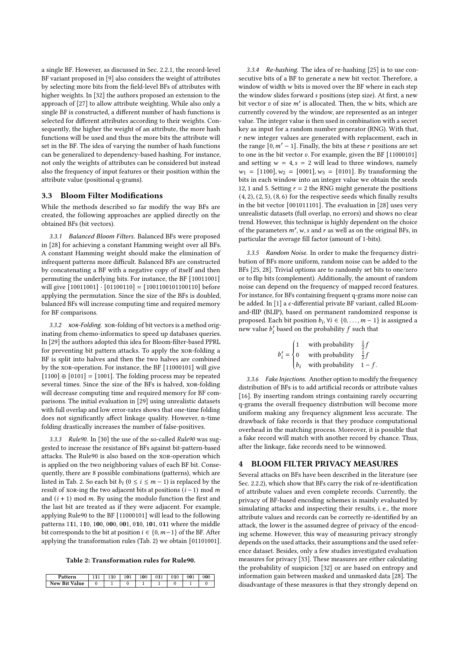a single BF. However, as discussed in Sec. [2.2.1,](#page-1-3) the record-level BF variant proposed in [\[9\]](#page-11-14) also considers the weight of attributes by selecting more bits from the field-level BFs of attributes with higher weights. In [\[32\]](#page-11-15) the authors proposed an extension to the approach of [\[27\]](#page-11-13) to allow attribute weighting. While also only a single BF is constructed, a different number of hash functions is selected for different attributes according to their weights. Consequently, the higher the weight of an attribute, the more hash functions will be used and thus the more bits the attribute will set in the BF. The idea of varying the number of hash functions can be generalized to dependency-based hashing. For instance, not only the weights of attributes can be considered but instead also the frequency of input features or their position within the attribute value (positional q-grams).

#### 3.3 Bloom Filter Modifications

While the methods described so far modify the way BFs are created, the following approaches are applied directly on the obtained BFs (bit vectors).

3.3.1 Balanced Bloom Filters. Balanced BFs were proposed in [\[28\]](#page-11-16) for achieving a constant Hamming weight over all BFs. A constant Hamming weight should make the elimination of infrequent patterns more difficult. Balanced BFs are constructed by concatenating a BF with a negative copy of itself and then permuting the underlying bits. For instance, the BF [10011001] will give  $[10011001] \cdot [01100110] = [1001100101100110]$  before applying the permutation. Since the size of the BFs is doubled, balanced BFs will increase computing time and required memory for BF comparisons.

3.3.2 xor-Folding. xor-folding of bit vectors is a method originating from chemo-informatics to speed up databases queries. In [\[29\]](#page-11-17) the authors adopted this idea for Bloom-filter-based PPRL for preventing bit pattern attacks. To apply the xor-folding a BF is split into halves and then the two halves are combined by the xor-operation. For instance, the BF [11000101] will give  $[1100] \oplus [0101] = [1001]$ . The folding process may be repeated several times. Since the size of the BFs is halved, xor-folding will decrease computing time and required memory for BF comparisons. The initial evaluation in [\[29\]](#page-11-17) using unrealistic datasets with full overlap and low error-rates shows that one-time folding does not significantly affect linkage quality. However, n-time folding drastically increases the number of false-positives.

3.3.3 Rule90. In [\[30\]](#page-11-18) the use of the so-called Rule90 was suggested to increase the resistance of BFs against bit-pattern-based attacks. The Rule90 is also based on the xor-operation which is applied on the two neighboring values of each BF bit. Consequently, there are 8 possible combinations (patterns), which are listed in Tab. [2.](#page-4-0) So each bit  $b_i$  ( $0 \le i \le m - 1$ ) is replaced by the result of xor-ing the two adjacent bits at positions  $(i - 1)$  mod m and  $(i + 1)$  mod m. By using the modulo function the first and the last bit are treated as if they were adjacent. For example, applying Rule90 to the BF [11000101] will lead to the following patterns 111, 110, 100, 000, 001, 010, 101, 011 where the middle bit corresponds to the bit at position  $i \in \{0, m-1\}$  of the BF. After applying the transformation rules (Tab. [2\)](#page-4-0) we obtain [01101001].

Table 2: Transformation rules for Rule90.

<span id="page-4-0"></span>

| n<br>tern **         | $\rightarrow$ | 10 <sup>1</sup> | 100 | 10 | 001 |  |
|----------------------|---------------|-----------------|-----|----|-----|--|
| <b>New Bit Value</b> |               |                 |     |    |     |  |

3.3.4 Re-hashing. The idea of re-hashing [\[25\]](#page-11-9) is to use consecutive bits of a BF to generate a new bit vector. Therefore, a window of width  $w$  bits is moved over the BF where in each step the window slides forward *s* positions (step size). At first, a new bit vector  $v$  of size  $m'$  is allocated. Then, the w bits, which are currently covered by the window, are represented as an integer value. The integer value is then used in combination with a secret key as input for a random number generator (RNG). With that,  $r$  new integer values are generated with replacement, each in the range  $\lceil 0,m'-1\rceil$ . Finally, the bits at these  $r$  positions are set to one in the bit vector  $v$ . For example, given the BF  $[11000101]$ and setting  $w = 4$ ,  $s = 2$  will lead to three windows, namely  $w_1 = [1100], w_2 = [0001], w_3 = [0101].$  By transforming the bits in each window into an integer value we obtain the seeds 12, 1 and 5. Setting  $r = 2$  the RNG might generate the positions  $(4, 2), (2, 5), (8, 6)$  for the respective seeds which finally results in the bit vector [001011101]. The evaluation in [\[28\]](#page-11-16) uses very unrealistic datasets (full overlap, no errors) and shows no clear trend. However, this technique is highly dependent on the choice of the parameters  $m'$ , w, s and r as well as on the original BFs, in particular the average fill factor (amount of 1-bits).

<span id="page-4-2"></span>3.3.5 Random Noise. In order to make the frequency distribution of BFs more uniform, random noise can be added to the BFs [\[25,](#page-11-9) [28\]](#page-11-16). Trivial options are to randomly set bits to one/zero or to flip bits (complement). Additionally, the amount of random noise can depend on the frequency of mapped record features. For instance, for BFs containing frequent q-grams more noise can be added. In  $[1]$  a  $\epsilon$ -differential private BF variant, called BLoomand-flIP (BLIP), based on permanent randomized response is proposed. Each bit position  $b_i$ ,  $\forall i \in \{0, ..., m-1\}$  is assigned a new value  $b_i$  based on the probability  $f$  such that

$$
b'_{i} = \begin{cases} 1 & \text{with probability} & \frac{1}{2}f \\ 0 & \text{with probability} & \frac{1}{2}f \\ b_{i} & \text{with probability} & 1 - f. \end{cases}
$$

3.3.6 Fake Injections. Another option to modify the frequency distribution of BFs is to add artificial records or attribute values [\[16\]](#page-11-20). By inserting random strings containing rarely occurring q-grams the overall frequency distribution will become more uniform making any frequency alignment less accurate. The drawback of fake records is that they produce computational overhead in the matching process. Moreover, it is possible that a fake record will match with another record by chance. Thus, after the linkage, fake records need to be winnowed.

#### <span id="page-4-1"></span>4 BLOOM FILTER PRIVACY MEASURES

Several attacks on BFs have been described in the literature (see Sec. [2.2.2\)](#page-1-1), which show that BFs carry the risk of re-identification of attribute values and even complete records. Currently, the privacy of BF-based encoding schemes is mainly evaluated by simulating attacks and inspecting their results, i. e., the more attribute values and records can be correctly re-identified by an attack, the lower is the assumed degree of privacy of the encoding scheme. However, this way of measuring privacy strongly depends on the used attacks, their assumptions and the used reference dataset. Besides, only a few studies investigated evaluation measures for privacy [\[33\]](#page-11-1). These measures are either calculating the probability of suspicion [\[32\]](#page-11-15) or are based on entropy and information gain between masked and unmasked data [\[28\]](#page-11-16). The disadvantage of these measures is that they strongly depend on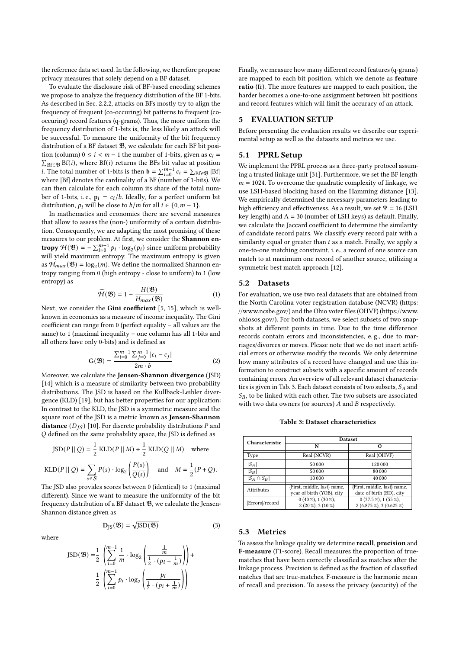the reference data set used. In the following, we therefore propose privacy measures that solely depend on a BF dataset.

To evaluate the disclosure risk of BF-based encoding schemes we propose to analyze the frequency distribution of the BF 1-bits. As described in Sec. [2.2.2,](#page-1-1) attacks on BFs mostly try to align the frequency of frequent (co-occuring) bit patterns to frequent (cooccuring) record features (q-grams). Thus, the more uniform the frequency distribution of 1-bits is, the less likely an attack will be successful. To measure the uniformity of the bit frequency distribution of a BF dataset  $\mathfrak{B},$  we calculate for each BF bit position (column)  $0 \le i < m - 1$  the number of 1-bits, given as  $c_i =$  $\sum_{\text{Bf} \in \mathfrak{B}} \text{Bf}(i)$ , where  $\text{Bf}(i)$  returns the BFs bit value at position i. The total number of 1-bits is then  $\mathbf{b} = \sum_{i=0}^{m-1} c_i = \sum_{Bf \in \mathcal{B}} |Bf|$ where |Bf| denotes the cardinality of a BF (number of 1-bits). We can then calculate for each column its share of the total number of 1-bits, i. e.,  $p_i = c_i/b$ . Ideally, for a perfect uniform bit distribution,  $p_i$  will be close to  $b/m$  for all  $i \in \{0, m-1\}$ .

In mathematics and economics there are several measures that allow to assess the (non-) uniformity of a certain distribution. Consequently, we are adapting the most promising of these measures to our problem. At first, we consider the Shannon entropy  $\mathcal{H}(\mathfrak{B}) = -\sum_{i=0}^{m-1} p_i \cdot \log_2(p_i)$  since uniform probability will yield maximum entropy. The maximum entropy is given as  $\mathcal{H}_{max}(\mathfrak{B}) = \log_2(m)$ . We define the normalized Shannon entropy ranging from 0 (high entropy - close to uniform) to 1 (low entropy) as

$$
\widetilde{\mathcal{H}}(\mathfrak{B}) = 1 - \frac{H(\mathfrak{B})}{H_{max}(\mathfrak{B})}
$$
 (1)

Next, we consider the Gini coefficient [\[5,](#page-11-26) [15\]](#page-11-27), which is wellknown in economics as a measure of income inequality. The Gini coefficient can range from 0 (perfect equality – all values are the same) to 1 (maximal inequality – one column has all 1-bits and all others have only 0-bits) and is defined as

$$
G(\mathfrak{B}) = \frac{\sum_{i=0}^{m-1} \sum_{j=0}^{m-1} |c_i - c_j|}{2m \cdot b} \tag{2}
$$

Moreover, we calculate the Jensen-Shannon divergence (JSD) [\[14\]](#page-11-28) which is a measure of similarity between two probability distributions. The JSD is based on the Kullback-Leibler divergence (KLD) [\[19\]](#page-11-29), but has better properties for our application: In contrast to the KLD, the JSD is a symmetric measure and the square root of the JSD is a metric known as Jensen-Shannon **distance**  $(D_{IS})$  [\[10\]](#page-11-30). For discrete probability distributions *P* and  $O$  defined on the same probability space, the JSD is defined as

$$
JSD(P || Q) = \frac{1}{2} KLD(P || M) + \frac{1}{2} KLD(Q || M) \text{ where}
$$
  
 
$$
KLD(P || Q) = \sum_{s \in S} P(s) \cdot \log_2 \left(\frac{P(s)}{Q(s)}\right) \text{ and } M = \frac{1}{2}(P + Q).
$$

The JSD also provides scores between 0 (identical) to 1 (maximal different). Since we want to measure the uniformity of the bit frequency distribution of a BF dataset  $\mathfrak{B}$ , we calculate the Jensen-Shannon distance given as

$$
D_{JS}(\mathfrak{B}) = \sqrt{JSD(\mathfrak{B})}
$$
 (3)

where

$$
JSD(\mathfrak{B}) = \frac{1}{2} \left( \sum_{i=0}^{m-1} \frac{1}{m} \cdot \log_2 \left( \frac{\frac{1}{m}}{\frac{1}{2} \cdot (p_i + \frac{1}{m})} \right) \right) + \frac{1}{2} \left( \sum_{i=0}^{m-1} p_i \cdot \log_2 \left( \frac{p_i}{\frac{1}{2} \cdot (p_i + \frac{1}{m})} \right) \right)
$$

Finally, we measure how many different record features (q-grams) are mapped to each bit position, which we denote as feature ratio (fr). The more features are mapped to each position, the harder becomes a one-to-one assignment between bit positions and record features which will limit the accuracy of an attack.

### 5 EVALUATION SETUP

Before presenting the evaluation results we describe our experimental setup as well as the datasets and metrics we use.

## 5.1 PPRL Setup

We implement the PPRL process as a three-party protocol assuming a trusted linkage unit [\[31\]](#page-11-23). Furthermore, we set the BF length  $m = 1024$ . To overcome the quadratic complexity of linkage, we use LSH-based blocking based on the Hamming distance [\[13\]](#page-11-31). We empirically determined the necessary parameters leading to high efficiency and effectiveness. As a result, we set  $\Psi = 16$  (LSH key length) and  $\Lambda = 30$  (number of LSH keys) as default. Finally, we calculate the Jaccard coefficient to determine the similarity of candidate record pairs. We classify every record pair with a similarity equal or greater than  $t$  as a match. Finally, we apply a one-to-one matching constraint, i. e., a record of one source can match to at maximum one record of another source, utilizing a symmetric best match approach [\[12\]](#page-11-32).

# 5.2 Datasets

For evaluation, we use two real datasets that are obtained from the North Carolina voter registration database (NCVR) [\(https:](https://www.ncsbe.gov/) [//www.ncsbe.gov/\)](https://www.ncsbe.gov/) and the Ohio voter files (OHVF) [\(https://www.](https://www.ohiosos.gov/) [ohiosos.gov/\)](https://www.ohiosos.gov/). For both datasets, we select subsets of two snapshots at different points in time. Due to the time difference records contain errors and inconsistencies, e. g., due to marriages/divorces or moves. Please note that we do not insert artificial errors or otherwise modify the records. We only determine how many attributes of a record have changed and use this information to construct subsets with a specific amount of records containing errors. An overview of all relevant dataset characteris-tics is given in Tab. [3.](#page-5-0) Each dataset consists of two subsets,  $S_A$  and  $S_B$ , to be linked with each other. The two subsets are associated with two data owners (or sources)  $A$  and  $B$  respectively.

Table 3: Dataset characteristics

<span id="page-5-0"></span>

| Characteristic   | <b>Dataset</b>                                           |                                                         |  |  |  |  |
|------------------|----------------------------------------------------------|---------------------------------------------------------|--|--|--|--|
|                  | N                                                        | Ω                                                       |  |  |  |  |
| Type             | Real (NCVR)                                              | Real (OHVF)                                             |  |  |  |  |
| $ S_A $          | 50 000                                                   | 120 000                                                 |  |  |  |  |
| $ S_B $          | 50 000                                                   | 80 000                                                  |  |  |  |  |
| $ S_A \cap S_B $ | 10000                                                    | 40 000                                                  |  |  |  |  |
| Attributes       | {First, middle, last} name,<br>year of birth (YOB), city | {First, middle, last} name,<br>date of birth (BD), city |  |  |  |  |
| Errors//record   | $0(40\%)$ , $1(30\%)$ ,<br>$2(20\%)$ , $3(10\%)$         | $0(37.5\%)$ , $1(55\%)$ ,<br>2 (6.875 %), 3 (0.625 %)   |  |  |  |  |

#### 5.3 Metrics

To assess the linkage quality we determine recall, precision and F-measure (F1-score). Recall measures the proportion of truematches that have been correctly classified as matches after the linkage process. Precision is defined as the fraction of classified matches that are true-matches. F-measure is the harmonic mean of recall and precision. To assess the privacy (security) of the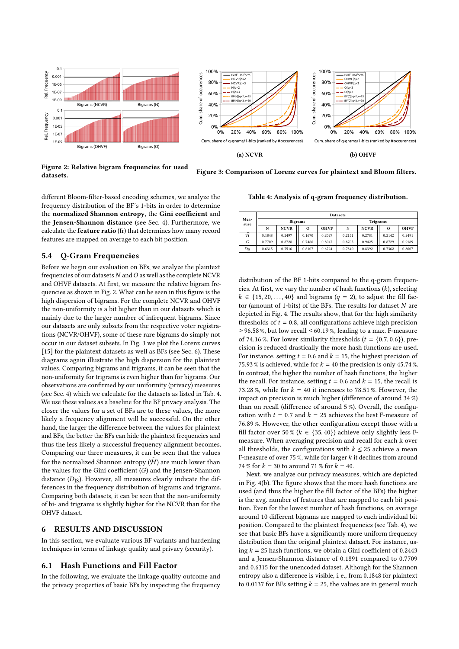<span id="page-6-0"></span>



Figure 3: Comparison of Lorenz curves for plaintext and Bloom filters.

Figure 2: Relative bigram frequencies for used datasets.

different Bloom-filter-based encoding schemes, we analyze the frequency distribution of the BF's 1-bits in order to determine the normalized Shannon entropy, the Gini coefficient and the Jensen-Shannon distance (see Sec. [4\)](#page-4-1). Furthermore, we calculate the feature ratio (fr) that determines how many record features are mapped on average to each bit position.

## 5.4 Q-Gram Frequencies

Before we begin our evaluation on BFs, we analyze the plaintext frequencies of our datasets  $N$  and  $O$  as well as the complete NCVR and OHVF datasets. At first, we measure the relative bigram frequencies as shown in Fig. [2.](#page-6-0) What can be seen in this figure is the high dispersion of bigrams. For the complete NCVR and OHVF the non-uniformity is a bit higher than in our datasets which is mainly due to the larger number of infrequent bigrams. Since our datasets are only subsets from the respective voter registrations (NCVR/OHVF), some of these rare bigrams do simply not occur in our dataset subsets. In Fig. [3](#page-6-0) we plot the Lorenz curves [\[15\]](#page-11-27) for the plaintext datasets as well as BFs (see Sec. [6\)](#page-6-1). These diagrams again illustrate the high dispersion for the plaintext values. Comparing bigrams and trigrams, it can be seen that the non-uniformity for trigrams is even higher than for bigrams. Our observations are confirmed by our uniformity (privacy) measures (see Sec. [4\)](#page-4-1) which we calculate for the datasets as listed in Tab. [4.](#page-6-2) We use these values as a baseline for the BF privacy analysis. The closer the values for a set of BFs are to these values, the more likely a frequency alignment will be successful. On the other hand, the larger the difference between the values for plaintext and BFs, the better the BFs can hide the plaintext frequencies and thus the less likely a successful frequency alignment becomes. Comparing our three measures, it can be seen that the values for the normalized Shannon entropy  $(\widetilde{\mathcal{H}})$  are much lower than the values for the Gini coefficient  $(G)$  and the Jensen-Shannon distance  $(D_{\text{IS}})$ . However, all measures clearly indicate the differences in the frequency distribution of bigrams and trigrams. Comparing both datasets, it can be seen that the non-uniformity of bi- and trigrams is slightly higher for the NCVR than for the OHVF dataset.

### <span id="page-6-1"></span>6 RESULTS AND DISCUSSION

In this section, we evaluate various BF variants and hardening techniques in terms of linkage quality and privacy (security).

#### 6.1 Hash Functions and Fill Factor

In the following, we evaluate the linkage quality outcome and the privacy properties of basic BFs by inspecting the frequency

<span id="page-6-2"></span>Table 4: Analysis of q-gram frequency distribution.

| Mea-<br>sure    | <b>Datasets</b> |                |         |             |                 |             |         |             |  |  |
|-----------------|-----------------|----------------|---------|-------------|-----------------|-------------|---------|-------------|--|--|
|                 |                 | <b>Bigrams</b> |         |             | <b>Trigrams</b> |             |         |             |  |  |
|                 | N               | <b>NCVR</b>    | $\circ$ | <b>OHVF</b> | N               | <b>NCVR</b> | $\circ$ | <b>OHVF</b> |  |  |
| Ã               | 0.1848          | 0.2497         | 0.1670  | 0.2027      | 0.2151          | 0.2781      | 0.2142  | 0.2491      |  |  |
| G               | 0.7709          | 0.8728         | 0.7466  | 0.8047      | 0.8705          | 0.9425      | 0.8729  | 0.9189      |  |  |
| $D_{\text{JS}}$ | 0.6315          | 0.7516         | 0.6107  | 0.6724      | 0.7340          | 0.8392      | 0.7362  | 0.8007      |  |  |

distribution of the BF 1-bits compared to the q-gram frequencies. At first, we vary the number of hash functions  $(k)$ , selecting  $k \in \{15, 20, \ldots, 40\}$  and bigrams  $(q = 2)$ , to adjust the fill factor (amount of 1-bits) of the BFs. The results for dataset  $N$  are depicted in Fig. [4.](#page-7-0) The results show, that for the high similarity thresholds of  $t = 0.8$ , all configurations achieve high precision ≥96.58%, but low recall ≤60.19%, leading to a max. F-measure of 74.16 %. For lower similarity thresholds  $(t = \{0.7, 0.6\})$ , precision is reduced drastically the more hash functions are used. For instance, setting  $t = 0.6$  and  $k = 15$ , the highest precision of 75.93 % is achieved, while for  $k = 40$  the precision is only 45.74 %. In contrast, the higher the number of hash functions, the higher the recall. For instance, setting  $t = 0.6$  and  $k = 15$ , the recall is 73.28 %, while for  $k = 40$  it increases to 78.51 %. However, the impact on precision is much higher (difference of around 34 %) than on recall (difference of around 5 %). Overall, the configuration with  $t = 0.7$  and  $k = 25$  achieves the best F-measure of 76.89 %. However, the other configuration except those with a fill factor over 50 % ( $k \in \{35, 40\}$ ) achieve only slightly less Fmeasure. When averaging precision and recall for each k over all thresholds, the configurations with  $k \leq 25$  achieve a mean F-measure of over 75 %, while for larger  $k$  it declines from around 74 % for  $k = 30$  to around 71 % for  $k = 40$ .

Next, we analyze our privacy measures, which are depicted in Fig. [4\(](#page-7-0)b). The figure shows that the more hash functions are used (and thus the higher the fill factor of the BFs) the higher is the avg. number of features that are mapped to each bit position. Even for the lowest number of hash functions, on average around 10 different bigrams are mapped to each individual bit position. Compared to the plaintext frequencies (see Tab. [4\)](#page-6-2), we see that basic BFs have a significantly more uniform frequency distribution than the original plaintext dataset. For instance, using  $k = 25$  hash functions, we obtain a Gini coefficient of 0.2443 and a Jensen-Shannon distance of 0.1891 compared to 0.7709 and 0.6315 for the unencoded dataset. Although for the Shannon entropy also a difference is visible, i. e., from 0.1848 for plaintext to 0.0137 for BFs setting  $k = 25$ , the values are in general much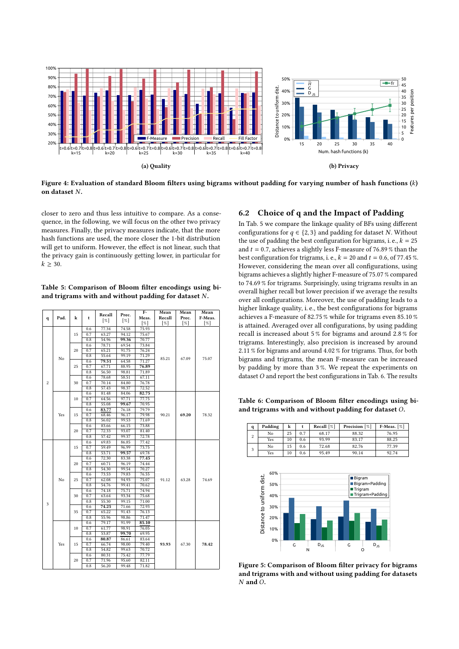<span id="page-7-0"></span>

Figure 4: Evaluation of standard Bloom filters using bigrams without padding for varying number of hash functions  $(k)$ on dataset  $N$ .

closer to zero and thus less intuitive to compare. As a consequence, in the following, we will focus on the other two privacy measures. Finally, the privacy measures indicate, that the more hash functions are used, the more closer the 1-bit distribution will get to uniform. However, the effect is not linear, such that the privacy gain is continuously getting lower, in particular for  $k \geq 30$ .

<span id="page-7-1"></span>Table 5: Comparison of Bloom filter encodings using biand trigrams with and without padding for dataset  $N$ .

|                |      |          |     |                    |        | $F-$   | Mean               | Mean  | Mean    |
|----------------|------|----------|-----|--------------------|--------|--------|--------------------|-------|---------|
| q              | Pad. | k        | t   | Recall             | Prec.  | Meas.  | Recall             | Prec. | F-Meas. |
|                |      |          |     | $\lceil \% \rceil$ | $[\%]$ | $[\%]$ | $\lceil \% \rceil$ | [%]   | [%]     |
|                |      |          | 0.6 | 77.34              | 74.58  | 75.93  |                    |       |         |
|                |      | 15       | 0.7 | 63.27              | 94.12  | 75.67  |                    |       |         |
|                |      |          | 0.8 | 54.96              | 99.36  | 70.77  |                    | 67.09 | 75.07   |
|                |      |          | 0.6 | 78.71              | 69.54  | 73.84  | 85.21              |       |         |
|                |      | 20       | 0.7 | 65.21              | 91.75  | 76.24  |                    |       |         |
|                | No   |          | 0.8 | 55.64              | 99.19  | 71.29  |                    |       |         |
|                |      |          | 0.6 | 79.51              | 64.58  | 71.27  |                    |       |         |
|                |      | 25       | 0.7 | 67.71              | 88.95  | 76.89  |                    |       |         |
|                |      |          | 0.8 | 56.50              | 98.81  | 71.89  |                    |       |         |
|                |      |          | 0.6 | 78.68              | 58.51  | 67.11  |                    |       |         |
| $\overline{c}$ |      | 30       | 0.7 | 70.14              | 84.80  | 76.78  |                    |       |         |
|                |      |          | 0.8 | 57.43              | 98.37  | 72.52  |                    |       |         |
|                |      |          | 0.6 | 81.48              | 84.06  | 82.75  |                    | 69.20 | 78.32   |
|                |      | 10       | 0.7 | 64.56              | 97.71  | 77.75  |                    |       |         |
|                |      |          | 0.8 | 55.08              | 99.67  | 70.95  |                    |       |         |
|                |      |          | 0.6 | 83.77              | 76.18  | 79.79  |                    |       |         |
|                | Yes  | 15       | 0.7 | 68.46              | 96.17  | 79.98  | 90.21              |       |         |
|                |      |          | 0.8 | 56.02              | 99.53  | 71.69  |                    |       |         |
|                |      | 20       | 0.6 | 83.66              | 66.15  | 73.88  |                    |       |         |
|                |      |          | 0.7 | 72.33              | 93.07  | 81.40  |                    |       |         |
|                |      |          | 0.8 | 57.42              | 99.37  | 72.78  |                    |       |         |
|                | No   | 15<br>20 | 0.6 | 69.83              | 86.85  | 77.42  | 91.12              | 63.28 | 74.69   |
|                |      |          | 0.7 | 59.49              | 96.99  | 73.75  |                    |       |         |
|                |      |          | 0.8 | 53.71              | 99.57  | 69.78  |                    |       |         |
|                |      |          | 0.6 | 72.30              | 83.38  | 77.45  |                    |       |         |
|                |      |          | 0.7 | 60.71              | 96.19  | 74.44  |                    |       |         |
|                |      |          | 0.8 | 54.30              | 99.54  | 70.27  |                    |       |         |
|                |      | 25       | 0.6 | 73.53              | 79.83  | 76.55  |                    |       |         |
|                |      |          | 0.7 | 62.08              | 94.93  | 75.07  |                    |       |         |
|                |      | 30<br>35 | 0.8 | 54.76              | 99.41  | 70.62  |                    |       |         |
|                |      |          | 0.6 | 74.18              | 75.71  | 74.94  |                    |       |         |
|                |      |          | 0.7 | 63.64              | 93.34  | 75.68  |                    |       |         |
| 3              |      |          | 0.8 | 55.30              | 99.15  | 71.00  |                    |       |         |
|                |      |          | 0.6 | 74.25              | 71.66  | 72.93  |                    |       |         |
|                |      |          | 0.7 | 65.22              | 91.43  | 76.13  |                    |       |         |
|                |      |          | 0.8 | 55.96              | 98.86  | 71.47  |                    |       |         |
|                |      | 10<br>15 | 0.6 | 79.17              | 91.99  | 85.10  | 93.93              |       |         |
|                | Yes  |          | 0.7 | 61.77              | 98.91  | 76.05  |                    |       |         |
|                |      |          | 0.8 | 53.87              | 99.70  | 69.95  |                    |       |         |
|                |      |          | 0.6 | 80.87              | 86.61  | 83.64  |                    | 67.30 |         |
|                |      |          | 0.7 | 66.74              | 98.00  | 79.40  |                    |       | 78.42   |
|                |      |          | 0.8 | 54.82              | 99.63  | 70.72  |                    |       |         |
|                |      |          | 0.6 | 80.31              | 75.42  | 77.79  |                    |       |         |
|                |      | 20       | 0.7 | 71.96              | 95.60  | 82.11  |                    |       |         |
|                |      |          | 0.8 | 56.20              | 99.48  | 71.82  |                    |       |         |

#### 6.2 Choice of q and the Impact of Padding

In Tab. [5](#page-7-1) we compare the linkage quality of BFs using different configurations for  $q \in \{2, 3\}$  and padding for dataset N. Without the use of padding the best configuration for bigrams, i. e.,  $k = 25$ and  $t = 0.7$ , achieves a slightly less F-measure of 76.89 % than the best configuration for trigrams, i. e.,  $k = 20$  and  $t = 0.6$ , of 77.45 %. However, considering the mean over all configurations, using bigrams achieves a slightly higher F-measure of 75.07 % compared to 74.69 % for trigrams. Surprisingly, using trigrams results in an overall higher recall but lower precision if we average the results over all configurations. Moreover, the use of padding leads to a higher linkage quality, i. e., the best configurations for bigrams achieves a F-measure of 82.75 % while for trigrams even 85.10 % is attained. Averaged over all configurations, by using padding recall is increased about 5 % for bigrams and around 2.8 % for trigrams. Interestingly, also precision is increased by around 2.11 % for bigrams and around 4.02 % for trigrams. Thus, for both bigrams and trigrams, the mean F-measure can be increased by padding by more than 3 %. We repeat the experiments on dataset  $O$  and report the best configurations in Tab. [6.](#page-7-2) The results

<span id="page-7-2"></span>Table 6: Comparison of Bloom filter encodings using biand trigrams with and without padding for dataset  $O$ .

| q              | Padding | k  |     | Recall $[\%]$ | Precision [%] | F-Meas. $[\%]$ |
|----------------|---------|----|-----|---------------|---------------|----------------|
| $\overline{c}$ | No      | 25 | 0.7 | 68.17         | 88.32         | 76.95          |
|                | Yes     | 10 | 0.6 | 93.99         | 83.17         | 88.25          |
| 3              | No      | 15 | 0.6 | 72.68         | 82.76         | 77.39          |
|                | Yes     | 10 | 0.6 | 95.49         | 90.14         | 92.74          |

<span id="page-7-3"></span>

Figure 5: Comparison of Bloom filter privacy for bigrams and trigrams with and without using padding for datasets  $N$  and  $O$ .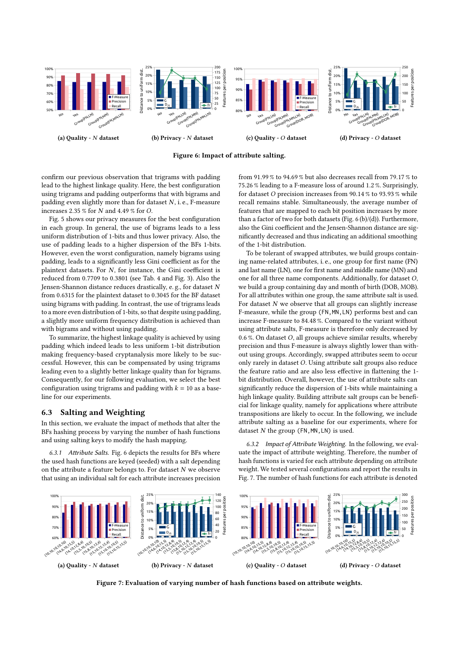<span id="page-8-0"></span>

Figure 6: Impact of attribute salting.

confirm our previous observation that trigrams with padding lead to the highest linkage quality. Here, the best configuration using trigrams and padding outperforms that with bigrams and padding even slightly more than for dataset  $N$ , i. e., F-measure increases 2.35  $\%$  for  $N$  and 4.49  $\%$  for  $O.$ 

Fig. [5](#page-7-3) shows our privacy measures for the best configuration in each group. In general, the use of bigrams leads to a less uniform distribution of 1-bits and thus lower privacy. Also, the use of padding leads to a higher dispersion of the BFs 1-bits. However, even the worst configuration, namely bigrams using padding, leads to a significantly less Gini coefficient as for the plaintext datasets. For  $N$ , for instance, the Gini coefficient is reduced from 0.7709 to 0.3801 (see Tab. [4](#page-6-2) and Fig. [3\)](#page-6-0). Also the Jensen-Shannon distance reduces drastically, e. g., for dataset from 0.6315 for the plaintext dataset to 0.3045 for the BF dataset using bigrams with padding. In contrast, the use of trigrams leads to a more even distribution of 1-bits, so that despite using padding, a slightly more uniform frequency distribution is achieved than with bigrams and without using padding.

To summarize, the highest linkage quality is achieved by using padding which indeed leads to less uniform 1-bit distribution making frequency-based cryptanalysis more likely to be successful. However, this can be compensated by using trigrams leading even to a slightly better linkage quality than for bigrams. Consequently, for our following evaluation, we select the best configuration using trigrams and padding with  $k = 10$  as a baseline for our experiments.

### 6.3 Salting and Weighting

In this section, we evaluate the impact of methods that alter the BFs hashing process by varying the number of hash functions and using salting keys to modify the hash mapping.

6.3.1 Attribute Salts. Fig. [6](#page-8-0) depicts the results for BFs where the used hash functions are keyed (seeded) with a salt depending on the attribute a feature belongs to. For dataset  $N$  we observe that using an individual salt for each attribute increases precision

from 91.99 % to 94.69 % but also decreases recall from 79.17 % to 75.26 % leading to a F-measure loss of around 1.2 %. Surprisingly, for dataset O precision increases from  $90.14$  % to  $93.93$  % while recall remains stable. Simultaneously, the average number of features that are mapped to each bit position increases by more than a factor of two for both datasets (Fig. [6](#page-8-0) (b)/(d)). Furthermore, also the Gini coefficient and the Jensen-Shannon distance are significantly decreased and thus indicating an additional smoothing of the 1-bit distribution.

To be tolerant of swapped attributes, we build groups containing name-related attributes, i. e., one group for first name (FN) and last name (LN), one for first name and middle name (MN) and one for all three name components. Additionally, for dataset  $O$ , we build a group containing day and month of birth (DOB, MOB). For all attributes within one group, the same attribute salt is used. For dataset  $N$  we observe that all groups can slightly increase F-measure, while the group (FN,MN,LN) performs best and can increase F-measure to 84.48 %. Compared to the variant without using attribute salts, F-measure is therefore only decreased by 0.6 %. On dataset  $O$ , all groups achieve similar results, whereby precision and thus F-measure is always slightly lower than without using groups. Accordingly, swapped attributes seem to occur only rarely in dataset O. Using attribute salt groups also reduce the feature ratio and are also less effective in flattening the 1 bit distribution. Overall, however, the use of attribute salts can significantly reduce the dispersion of 1-bits while maintaining a high linkage quality. Building attribute salt groups can be beneficial for linkage quality, namely for applications where attribute transpositions are likely to occur. In the following, we include attribute salting as a baseline for our experiments, where for dataset  $N$  the group (FN, MN, LN) is used.

6.3.2 Impact of Attribute Weighting. In the following, we evaluate the impact of attribute weighting. Therefore, the number of hash functions is varied for each attribute depending on attribute weight. We tested several configurations and report the results in Fig. [7.](#page-8-1) The number of hash functions for each attribute is denoted

<span id="page-8-1"></span>

Figure 7: Evaluation of varying number of hash functions based on attribute weights.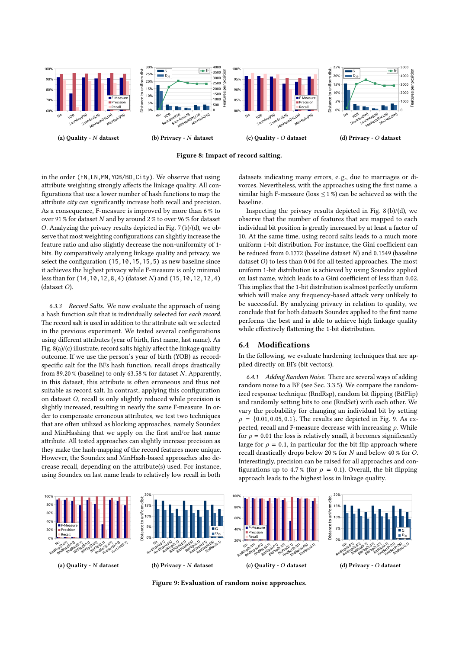<span id="page-9-0"></span>



in the order (FN,LN,MN,YOB/BD,City). We observe that using attribute weighting strongly affects the linkage quality. All configurations that use a lower number of hash functions to map the attribute city can significantly increase both recall and precision. As a consequence, F-measure is improved by more than 6 % to over 91 % for dataset  $N$  and by around 2 % to over 96 % for dataset O. Analyzing the privacy results depicted in Fig.  $7(b)/(d)$ , we observe that most weighting configurations can slightly increase the feature ratio and also slightly decrease the non-uniformity of 1 bits. By comparatively analyzing linkage quality and privacy, we select the configuration (15,10,15,15,5) as new baseline since it achieves the highest privacy while F-measure is only minimal less than for  $(14,10,12,8,4)$  (dataset N) and  $(15,10,12,12,4)$  $(dataset$   $O$ ).

6.3.3 Record Salts. We now evaluate the approach of using a hash function salt that is individually selected for each record. The record salt is used in addition to the attribute salt we selected in the previous experiment. We tested several configurations using different attributes (year of birth, first name, last name). As Fig. [8\(](#page-9-0)a)/(c) illustrate, record salts highly affect the linkage quality outcome. If we use the person's year of birth (YOB) as recordspecific salt for the BFs hash function, recall drops drastically from 89.20 % (baseline) to only 63.58 % for dataset N. Apparently, in this dataset, this attribute is often erroneous and thus not suitable as record salt. In contrast, applying this configuration on dataset  $O$ , recall is only slightly reduced while precision is slightly increased, resulting in nearly the same F-measure. In order to compensate erroneous attributes, we test two techniques that are often utilized as blocking approaches, namely Soundex and MinHashing that we apply on the first and/or last name attribute. All tested approaches can slightly increase precision as they make the hash-mapping of the record features more unique. However, the Soundex and MinHash-based approaches also decrease recall, depending on the attribute(s) used. For instance, using Soundex on last name leads to relatively low recall in both

datasets indicating many errors, e. g., due to marriages or divorces. Nevertheless, with the approaches using the first name, a similar high F-measure (loss  $\leq$  1%) can be achieved as with the baseline.

Inspecting the privacy results depicted in Fig. [8](#page-9-0) (b)/(d), we observe that the number of features that are mapped to each individual bit position is greatly increased by at least a factor of 10. At the same time, using record salts leads to a much more uniform 1-bit distribution. For instance, the Gini coefficient can be reduced from 0.1772 (baseline dataset  $N$ ) and 0.1549 (baseline dataset  $O$ ) to less than 0.04 for all tested approaches. The most uniform 1-bit distribution is achieved by using Soundex applied on last name, which leads to a Gini coefficient of less than 0.02. This implies that the 1-bit distribution is almost perfectly uniform which will make any frequency-based attack very unlikely to be successful. By analyzing privacy in relation to quality, we conclude that for both datasets Soundex applied to the first name performs the best and is able to achieve high linkage quality while effectively flattening the 1-bit distribution.

# 6.4 Modifications

In the following, we evaluate hardening techniques that are applied directly on BFs (bit vectors).

6.4.1 Adding Random Noise. There are several ways of adding random noise to a BF (see Sec. [3.3.5\)](#page-4-2). We compare the randomized response technique (RndRsp), random bit flipping (BitFlip) and randomly setting bits to one (RndSet) with each other. We vary the probability for changing an individual bit by setting  $\rho = \{0.01, 0.05, 0.1\}$ . The results are depicted in Fig. [9.](#page-9-1) As expected, recall and F-measure decrease with increasing  $\rho$ . While for  $\rho = 0.01$  the loss is relatively small, it becomes significantly large for  $\rho = 0.1$ , in particular for the bit flip approach where recall drastically drops below 20 % for  $N$  and below 40 % for  $O$ . Interestingly, precision can be raised for all approaches and configurations up to 4.7% (for  $\rho = 0.1$ ). Overall, the bit flipping approach leads to the highest loss in linkage quality.

<span id="page-9-1"></span>

Figure 9: Evaluation of random noise approaches.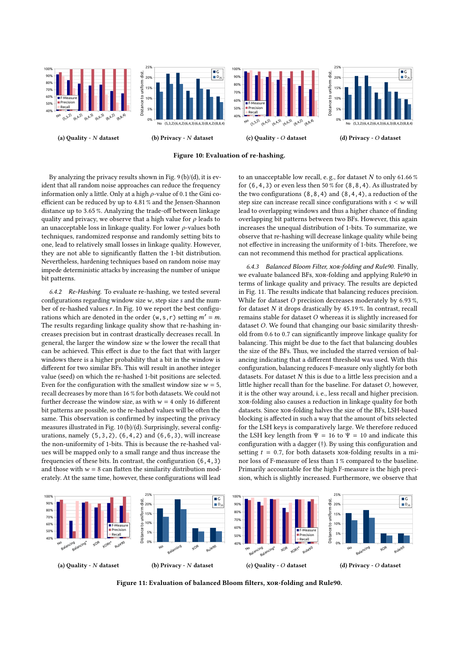<span id="page-10-0"></span>

Figure 10: Evaluation of re-hashing.

By analyzing the privacy results shown in Fig. [9](#page-9-1) (b)/(d), it is evident that all random noise approaches can reduce the frequency information only a little. Only at a high  $\rho$ -value of 0.1 the Gini coefficient can be reduced by up to 4.81 % and the Jensen-Shannon distance up to 3.65 %. Analyzing the trade-off between linkage quality and privacy, we observe that a high value for  $\rho$  leads to an unacceptable loss in linkage quality. For lower  $\rho$ -values both techniques, randomized response and randomly setting bits to one, lead to relatively small losses in linkage quality. However, they are not able to significantly flatten the 1-bit distribution. Nevertheless, hardening techniques based on random noise may impede deterministic attacks by increasing the number of unique bit patterns.

6.4.2 Re-Hashing. To evaluate re-hashing, we tested several configurations regarding window size  $w$ , step size  $s$  and the number of re-hashed values  $r$ . In Fig. [10](#page-10-0) we report the best configurations which are denoted in the order  $(w, s, r)$  setting  $m' = m$ . The results regarding linkage quality show that re-hashing increases precision but in contrast drastically decreases recall. In general, the larger the window size  $w$  the lower the recall that can be achieved. This effect is due to the fact that with larger windows there is a higher probability that a bit in the window is different for two similar BFs. This will result in another integer value (seed) on which the re-hashed 1-bit positions are selected. Even for the configuration with the smallest window size  $w = 5$ , recall decreases by more than 16 % for both datasets. We could not further decrease the window size, as with  $w = 4$  only 16 different bit patterns are possible, so the re-hashed values will be often the same. This observation is confirmed by inspecting the privacy measures illustrated in Fig. [10](#page-10-0) (b)/(d). Surprisingly, several configurations, namely  $(5,3,2)$ ,  $(6,4,2)$  and  $(6,6,3)$ , will increase the non-uniformity of 1-bits. This is because the re-hashed values will be mapped only to a small range and thus increase the frequencies of these bits. In contrast, the configuration (6,4,3) and those with  $w = 8$  can flatten the similarity distribution moderately. At the same time, however, these configurations will lead

to an unacceptable low recall, e.g., for dataset  $N$  to only 61.66 % for  $(6,4,3)$  or even less then 50 % for  $(8,8,4)$ . As illustrated by the two configurations  $(8,8,4)$  and  $(8,4,4)$ , a reduction of the step size can increase recall since configurations with  $s < w$  will lead to overlapping windows and thus a higher chance of finding overlapping bit patterns between two BFs. However, this again increases the unequal distribution of 1-bits. To summarize, we observe that re-hashing will decrease linkage quality while being not effective in increasing the uniformity of 1-bits. Therefore, we can not recommend this method for practical applications.

6.4.3 Balanced Bloom Filter, xor-folding and Rule90. Finally, we evaluate balanced BFs, xor-folding and applying Rule90 in terms of linkage quality and privacy. The results are depicted in Fig. [11.](#page-10-1) The results indicate that balancing reduces precision. While for dataset  $O$  precision decreases moderately by 6.93%, for dataset  $N$  it drops drastically by 45.19 %. In contrast, recall remains stable for dataset  $O$  whereas it is slightly increased for dataset O. We found that changing our basic similarity threshold from 0.6 to 0.7 can significantly improve linkage quality for balancing. This might be due to the fact that balancing doubles the size of the BFs. Thus, we included the starred version of balancing indicating that a different threshold was used. With this configuration, balancing reduces F-measure only slightly for both datasets. For dataset  $N$  this is due to a little less precision and a little higher recall than for the baseline. For dataset  $O$ , however, it is the other way around, i. e., less recall and higher precision. xor-folding also causes a reduction in linkage quality for both datasets. Since xor-folding halves the size of the BFs, LSH-based blocking is affected in such a way that the amount of bits selected for the LSH keys is comparatively large. We therefore reduced the LSH key length from  $\Psi = 16$  to  $\Psi = 10$  and indicate this configuration with a dagger (†). By using this configuration and setting  $t = 0.7$ , for both datasets xor-folding results in a minor loss of F-measure of less than 1 % compared to the baseline. Primarily accountable for the high F-measure is the high precision, which is slightly increased. Furthermore, we observe that

<span id="page-10-1"></span>

Figure 11: Evaluation of balanced Bloom filters, xor-folding and Rule90.